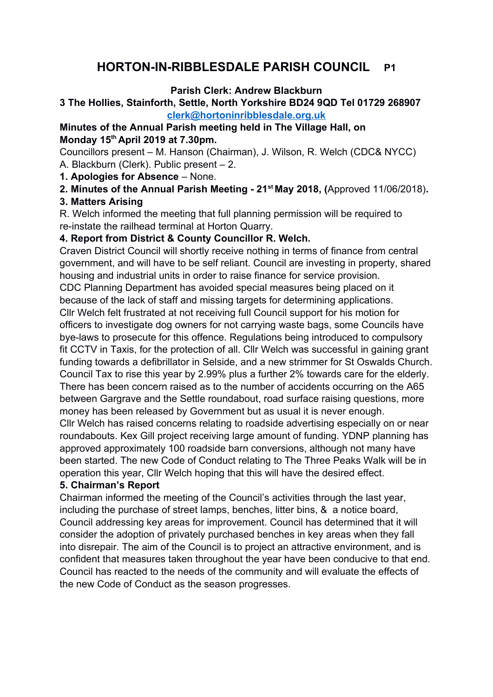# **HORTON-IN-RIBBLESDALE PARISH COUNCIL P1**

### **Parish Clerk: Andrew Blackburn**

### **3 The Hollies, Stainforth, Settle, North Yorkshire BD24 9QD Tel 01729 268907 [clerk@hortoninribblesdale.org.uk](mailto:clerk@hortoninribblesdale.org.uk)**

### **Minutes of the Annual Parish meeting held in The Village Hall, on Monday 15th April 2019 at 7.30pm.**

Councillors present – M. Hanson (Chairman), J. Wilson, R. Welch (CDC& NYCC) A. Blackburn (Clerk). Public present – 2.

**1. Apologies for Absence** – None.

**2. Minutes of the Annual Parish Meeting - 21st May 2018, (**Approved 11/06/2018)**.** 

# **3. Matters Arising**

R. Welch informed the meeting that full planning permission will be required to re-instate the railhead terminal at Horton Quarry.

# **4. Report from District & County Councillor R. Welch.**

Craven District Council will shortly receive nothing in terms of finance from central government, and will have to be self reliant. Council are investing in property, shared housing and industrial units in order to raise finance for service provision. CDC Planning Department has avoided special measures being placed on it because of the lack of staff and missing targets for determining applications.

Cllr Welch felt frustrated at not receiving full Council support for his motion for officers to investigate dog owners for not carrying waste bags, some Councils have bye-laws to prosecute for this offence. Regulations being introduced to compulsory fit CCTV in Taxis, for the protection of all. Cllr Welch was successful in gaining grant funding towards a defibrillator in Selside, and a new strimmer for St Oswalds Church. Council Tax to rise this year by 2.99% plus a further 2% towards care for the elderly. There has been concern raised as to the number of accidents occurring on the A65 between Gargrave and the Settle roundabout, road surface raising questions, more money has been released by Government but as usual it is never enough.

Cllr Welch has raised concerns relating to roadside advertising especially on or near roundabouts. Kex Gill project receiving large amount of funding. YDNP planning has approved approximately 100 roadside barn conversions, although not many have been started. The new Code of Conduct relating to The Three Peaks Walk will be in operation this year, Cllr Welch hoping that this will have the desired effect.

# **5. Chairman's Report**

Chairman informed the meeting of the Council's activities through the last year, including the purchase of street lamps, benches, litter bins, & a notice board, Council addressing key areas for improvement. Council has determined that it will consider the adoption of privately purchased benches in key areas when they fall into disrepair. The aim of the Council is to project an attractive environment, and is confident that measures taken throughout the year have been conducive to that end. Council has reacted to the needs of the community and will evaluate the effects of the new Code of Conduct as the season progresses.